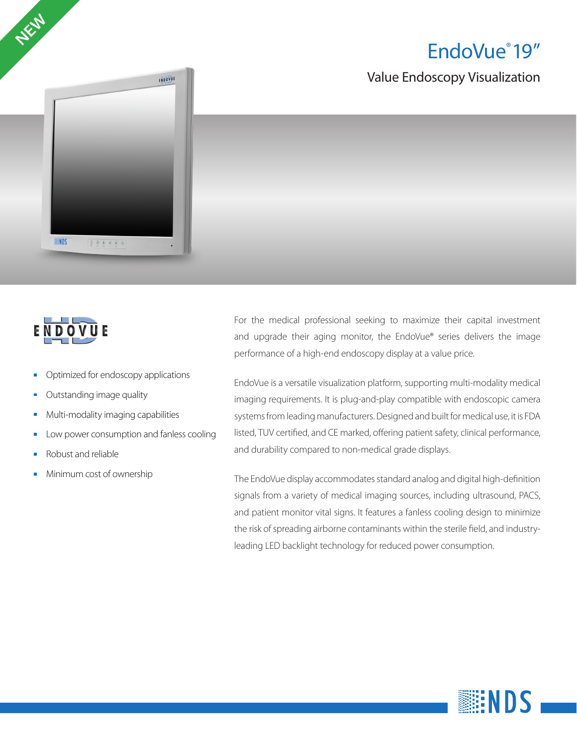# EndoVue® 19"

### Value Endoscopy Visualization





**NEW** 

- Optimized for endoscopy applications
- Outstanding image quality
- Multi-modality imaging capabilities
- Low power consumption and fanless cooling
- Robust and reliable
- Minimum cost of ownership $\overline{\phantom{a}}$

For the medical professional seeking to maximize their capital investment and upgrade their aging monitor, the EndoVue® series delivers the image performance of a high-end endoscopy display at a value price.

EndoVue is a versatile visualization platform, supporting multi-modality medical imaging requirements. It is plug-and-play compatible with endoscopic camera systems from leading manufacturers. Designed and built for medical use, it is FDA listed, TUV certified, and CE marked, offering patient safety, clinical performance, and durability compared to non-medical grade displays.

The EndoVue display accommodates standard analog and digital high-definition signals from a variety of medical imaging sources, including ultrasound, PACS, and patient monitor vital signs. It features a fanless cooling design to minimize the risk of spreading airborne contaminants within the sterile field, and industryleading LED backlight technology for reduced power consumption.